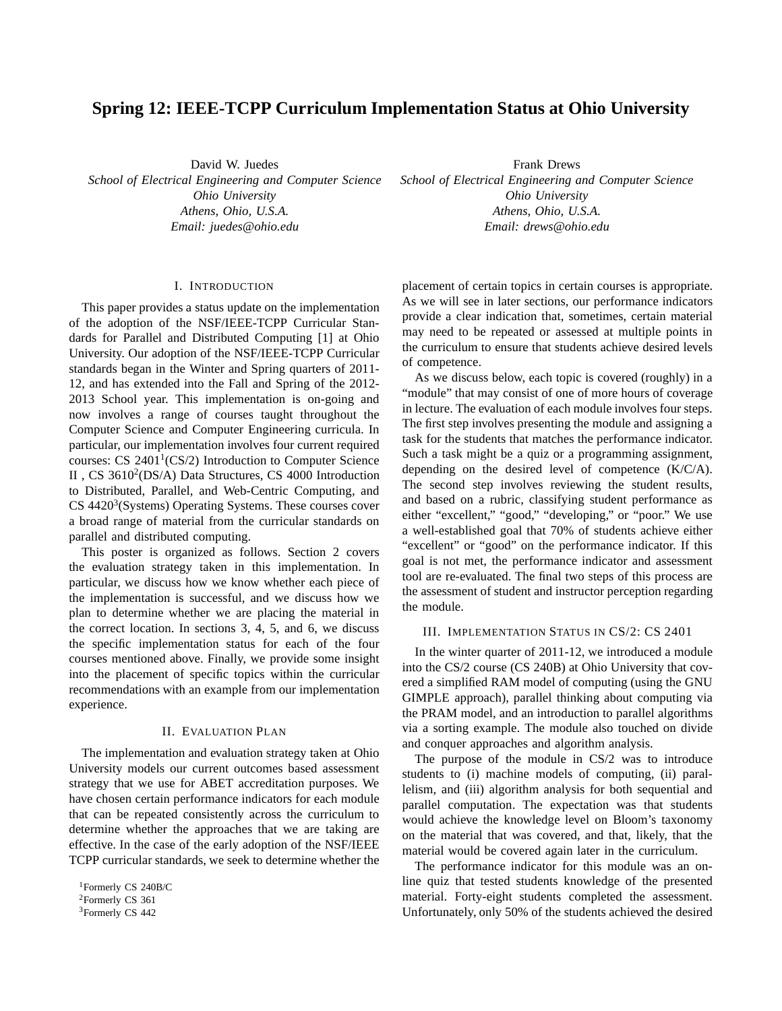# **Spring 12: IEEE-TCPP Curriculum Implementation Status at Ohio University**

David W. Juedes

*School of Electrical Engineering and Computer Science Ohio University Athens, Ohio, U.S.A. Email: juedes@ohio.edu*

#### I. INTRODUCTION

This paper provides a status update on the implementation of the adoption of the NSF/IEEE-TCPP Curricular Standards for Parallel and Distributed Computing [1] at Ohio University. Our adoption of the NSF/IEEE-TCPP Curricular standards began in the Winter and Spring quarters of 2011- 12, and has extended into the Fall and Spring of the 2012- 2013 School year. This implementation is on-going and now involves a range of courses taught throughout the Computer Science and Computer Engineering curricula. In particular, our implementation involves four current required courses: CS  $2401^1$ (CS/2) Introduction to Computer Science II, CS 3610<sup>2</sup>(DS/A) Data Structures, CS 4000 Introduction to Distributed, Parallel, and Web-Centric Computing, and  $CS$  4420<sup>3</sup>(Systems) Operating Systems. These courses cover a broad range of material from the curricular standards on parallel and distributed computing.

This poster is organized as follows. Section 2 covers the evaluation strategy taken in this implementation. In particular, we discuss how we know whether each piece of the implementation is successful, and we discuss how we plan to determine whether we are placing the material in the correct location. In sections 3, 4, 5, and 6, we discuss the specific implementation status for each of the four courses mentioned above. Finally, we provide some insight into the placement of specific topics within the curricular recommendations with an example from our implementation experience.

#### II. EVALUATION PLAN

The implementation and evaluation strategy taken at Ohio University models our current outcomes based assessment strategy that we use for ABET accreditation purposes. We have chosen certain performance indicators for each module that can be repeated consistently across the curriculum to determine whether the approaches that we are taking are effective. In the case of the early adoption of the NSF/IEEE TCPP curricular standards, we seek to determine whether the

Frank Drews *School of Electrical Engineering and Computer Science Ohio University Athens, Ohio, U.S.A. Email: drews@ohio.edu*

placement of certain topics in certain courses is appropriate. As we will see in later sections, our performance indicators provide a clear indication that, sometimes, certain material may need to be repeated or assessed at multiple points in the curriculum to ensure that students achieve desired levels of competence.

As we discuss below, each topic is covered (roughly) in a "module" that may consist of one of more hours of coverage in lecture. The evaluation of each module involves four steps. The first step involves presenting the module and assigning a task for the students that matches the performance indicator. Such a task might be a quiz or a programming assignment, depending on the desired level of competence (K/C/A). The second step involves reviewing the student results, and based on a rubric, classifying student performance as either "excellent," "good," "developing," or "poor." We use a well-established goal that 70% of students achieve either "excellent" or "good" on the performance indicator. If this goal is not met, the performance indicator and assessment tool are re-evaluated. The final two steps of this process are the assessment of student and instructor perception regarding the module.

## III. IMPLEMENTATION STATUS IN CS/2: CS 2401

In the winter quarter of 2011-12, we introduced a module into the CS/2 course (CS 240B) at Ohio University that covered a simplified RAM model of computing (using the GNU GIMPLE approach), parallel thinking about computing via the PRAM model, and an introduction to parallel algorithms via a sorting example. The module also touched on divide and conquer approaches and algorithm analysis.

The purpose of the module in CS/2 was to introduce students to (i) machine models of computing, (ii) parallelism, and (iii) algorithm analysis for both sequential and parallel computation. The expectation was that students would achieve the knowledge level on Bloom's taxonomy on the material that was covered, and that, likely, that the material would be covered again later in the curriculum.

The performance indicator for this module was an online quiz that tested students knowledge of the presented material. Forty-eight students completed the assessment. Unfortunately, only 50% of the students achieved the desired

<sup>1</sup>Formerly CS 240B/C

<sup>2</sup>Formerly CS 361

<sup>3</sup>Formerly CS 442